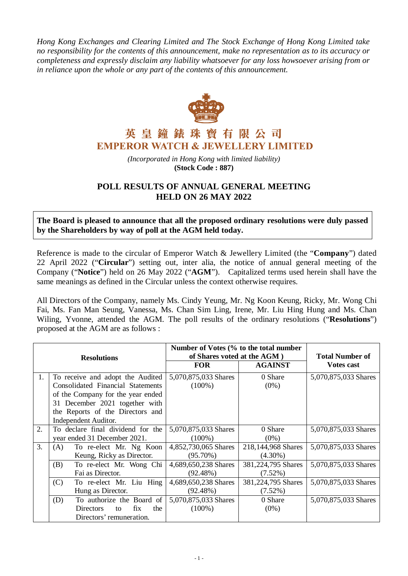*Hong Kong Exchanges and Clearing Limited and The Stock Exchange of Hong Kong Limited take no responsibility for the contents of this announcement, make no representation as to its accuracy or completeness and expressly disclaim any liability whatsoever for any loss howsoever arising from or in reliance upon the whole or any part of the contents of this announcement.*



## 英皇鐘錶珠寶有限公司 **EMPEROR WATCH & JEWELLERY LIMITED**

*(Incorporated in Hong Kong with limited liability)* **(Stock Code : 887)**

## **POLL RESULTS OF ANNUAL GENERAL MEETING HELD ON 26 MAY 2022**

**The Board is pleased to announce that all the proposed ordinary resolutions were duly passed by the Shareholders by way of poll at the AGM held today.**

Reference is made to the circular of Emperor Watch & Jewellery Limited (the "**Company**") dated 22 April 2022 ("**Circular**") setting out, inter alia, the notice of annual general meeting of the Company ("**Notice**") held on 26 May 2022 ("**AGM**"). Capitalized terms used herein shall have the same meanings as defined in the Circular unless the context otherwise requires.

All Directors of the Company, namely Ms. Cindy Yeung, Mr. Ng Koon Keung, Ricky, Mr. Wong Chi Fai, Ms. Fan Man Seung, Vanessa, Ms. Chan Sim Ling, Irene, Mr. Liu Hing Hung and Ms. Chan Wiling, Yvonne, attended the AGM. The poll results of the ordinary resolutions ("**Resolutions**") proposed at the AGM are as follows :

| <b>Resolutions</b> |                                   | Number of Votes (% to the total number |                    |                        |
|--------------------|-----------------------------------|----------------------------------------|--------------------|------------------------|
|                    |                                   | of Shares voted at the AGM)            |                    | <b>Total Number of</b> |
|                    |                                   | <b>FOR</b>                             | <b>AGAINST</b>     | <b>Votes cast</b>      |
| 1.                 | To receive and adopt the Audited  | 5,070,875,033 Shares                   | 0 Share            | 5,070,875,033 Shares   |
|                    | Consolidated Financial Statements | $(100\%)$                              | $(0\%)$            |                        |
|                    | of the Company for the year ended |                                        |                    |                        |
|                    | 31 December 2021 together with    |                                        |                    |                        |
|                    | the Reports of the Directors and  |                                        |                    |                        |
|                    | Independent Auditor.              |                                        |                    |                        |
| 2.                 | To declare final dividend for the | 5,070,875,033 Shares                   | 0 Share            | 5,070,875,033 Shares   |
|                    | year ended 31 December 2021.      | $(100\%)$                              | $(0\%)$            |                        |
| 3.                 | To re-elect Mr. Ng Koon<br>(A)    | 4,852,730,065 Shares                   | 218,144,968 Shares | 5,070,875,033 Shares   |
|                    | Keung, Ricky as Director.         | $(95.70\%)$                            | $(4.30\%)$         |                        |
|                    | (B)<br>To re-elect Mr. Wong Chi   | 4,689,650,238 Shares                   | 381,224,795 Shares | 5,070,875,033 Shares   |
|                    | Fai as Director.                  | $(92.48\%)$                            | $(7.52\%)$         |                        |
|                    | (C)<br>To re-elect Mr. Liu Hing   | 4,689,650,238 Shares                   | 381,224,795 Shares | 5,070,875,033 Shares   |
|                    | Hung as Director.                 | (92.48%)                               | $(7.52\%)$         |                        |
|                    | To authorize the Board of<br>(D)  | 5,070,875,033 Shares                   | 0 Share            | 5,070,875,033 Shares   |
|                    | the<br>Directors<br>fix<br>to     | $(100\%)$                              | $(0\%)$            |                        |
|                    | Directors' remuneration.          |                                        |                    |                        |